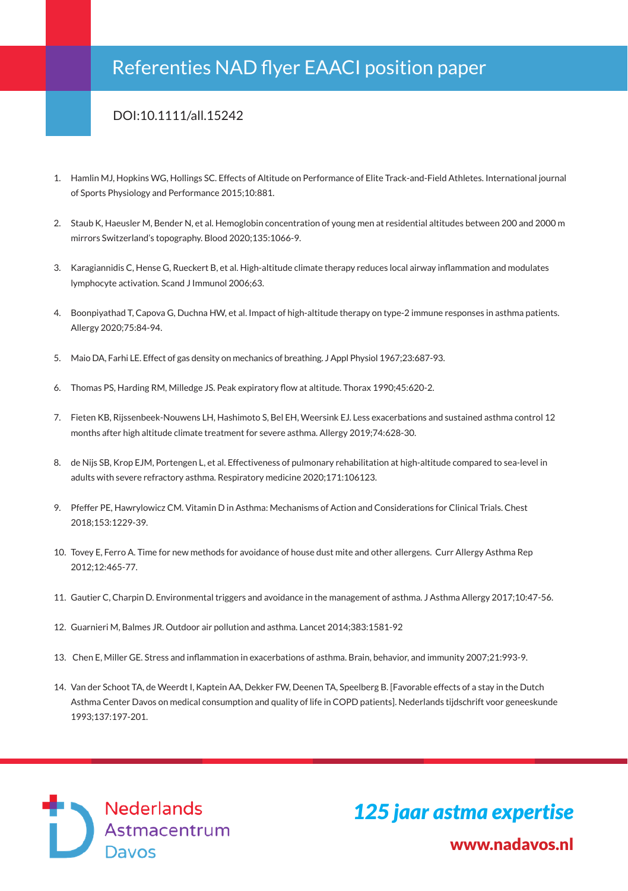## Referenties NAD flyer EAACI position paper

## DOI:10.1111/all.15242

- 1. Hamlin MJ, Hopkins WG, Hollings SC. Effects of Altitude on Performance of Elite Track-and-Field Athletes. International journal of Sports Physiology and Performance 2015;10:881.
- 2. Staub K, Haeusler M, Bender N, et al. Hemoglobin concentration of young men at residential altitudes between 200 and 2000 m mirrors Switzerland's topography. Blood 2020;135:1066-9.
- 3. Karagiannidis C, Hense G, Rueckert B, et al. High-altitude climate therapy reduces local airway inflammation and modulates lymphocyte activation. Scand J Immunol 2006;63.
- 4. Boonpiyathad T, Capova G, Duchna HW, et al. Impact of high-altitude therapy on type-2 immune responses in asthma patients. Allergy 2020;75:84-94.
- 5. Maio DA, Farhi LE. Effect of gas density on mechanics of breathing. J Appl Physiol 1967;23:687-93.
- 6. Thomas PS, Harding RM, Milledge JS. Peak expiratory flow at altitude. Thorax 1990;45:620-2.
- 7. Fieten KB, Rijssenbeek-Nouwens LH, Hashimoto S, Bel EH, Weersink EJ. Less exacerbations and sustained asthma control 12 months after high altitude climate treatment for severe asthma. Allergy 2019;74:628-30.
- 8. de Nijs SB, Krop EJM, Portengen L, et al. Effectiveness of pulmonary rehabilitation at high-altitude compared to sea-level in adults with severe refractory asthma. Respiratory medicine 2020;171:106123.
- 9. Pfeffer PE, Hawrylowicz CM. Vitamin D in Asthma: Mechanisms of Action and Considerations for Clinical Trials. Chest 2018;153:1229-39.
- 10. Tovey E, Ferro A. Time for new methods for avoidance of house dust mite and other allergens. Curr Allergy Asthma Rep 2012;12:465-77.
- 11. Gautier C, Charpin D. Environmental triggers and avoidance in the management of asthma. J Asthma Allergy 2017;10:47-56.
- 12. Guarnieri M, Balmes JR. Outdoor air pollution and asthma. Lancet 2014;383:1581-92
- 13. Chen E, Miller GE. Stress and inflammation in exacerbations of asthma. Brain, behavior, and immunity 2007;21:993-9.
- 14. Van der Schoot TA, de Weerdt I, Kaptein AA, Dekker FW, Deenen TA, Speelberg B. [Favorable effects of a stay in the Dutch Asthma Center Davos on medical consumption and quality of life in COPD patients]. Nederlands tijdschrift voor geneeskunde 1993;137:197-201.

Nederlands Astmacentrum<br>Davos

 www.nadavos.nl *125 jaar astma expertise*